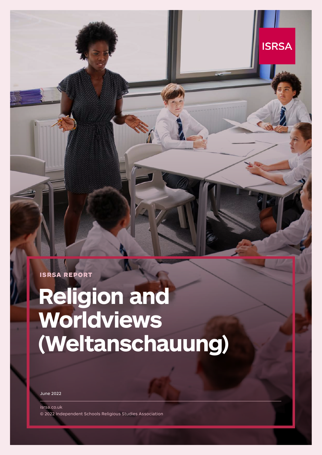ISRSA REPORT

# **Religion and Worldviews (Weltanschauung)**

**ISRSA** 

June 2022

isrsa.co.uk © 2022 Independent Schools Religious Studies Association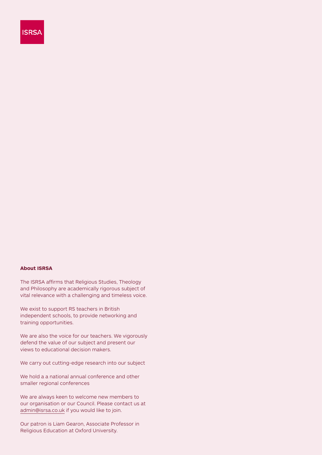

#### **About ISRSA**

The ISRSA affirms that Religious Studies, Theology and Philosophy are academically rigorous subject of vital relevance with a challenging and timeless voice.

We exist to support RS teachers in British independent schools, to provide networking and training opportunities.

We are also the voice for our teachers. We vigorously defend the value of our subject and present our views to educational decision makers.

We carry out cutting-edge research into our subject

We hold a a national annual conference and other smaller regional conferences

We are always keen to welcome new members to our organisation or our Council. Please contact us at admin@isrsa.co.uk if you would like to join.

Our patron is Liam Gearon, Associate Professor in Religious Education at Oxford University.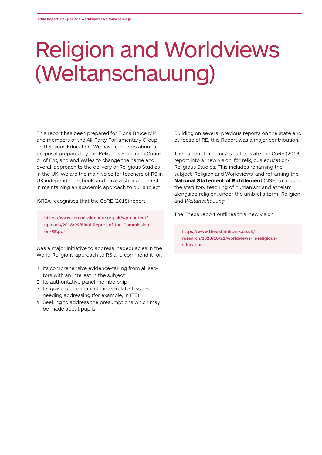### Religion and Worldviews (Weltanschauung)

This report has been prepared for Fiona Bruce MP and members of the All-Party Parliamentary Group on Religious Education. We have concerns about a proposal prepared by the Religious Education Council of England and Wales to change the name and overall approach to the delivery of Religious Studies in the UK. We are the main voice for teachers of RS in UK independent schools and have a strong interest in maintaining an academic approach to our subject.

ISRSA recognises that the CoRE (2018) report

https://www.commissiononre.org.uk/wp-content/ uploads/2018/09/Final-Report-of-the-Commissionon-RE.pdf

was a major initiative to address inadequacies in the World Religions approach to RS and commend it for:

- 1. Its comprehensive evidence-taking from all sectors with an interest in the subject
- 2. Its authoritative panel membership
- 3. Its grasp of the manifold inter-related issues needing addressing (for example, in ITE)
- 4. Seeking to address the presumptions which may be made about pupils.

Building on several previous reports on the state and purpose of RE, this Report was a major contribution.

The current trajectory is to translate the CoRE (2018) report into a 'new vision' for religious education/ Religious Studies. This includes renaming the subject 'Religion and Worldviews' and reframing the **National Statement of Entitlement** (NSE) to require the statutory teaching of humanism and atheism alongside religion, under the umbrella term: Religion and *Weltanschauung.*

The Theos report outlines this 'new vision'

https://www.theosthinktank.co.uk/ research/2020/10/21/worldviews-in-religiouseducation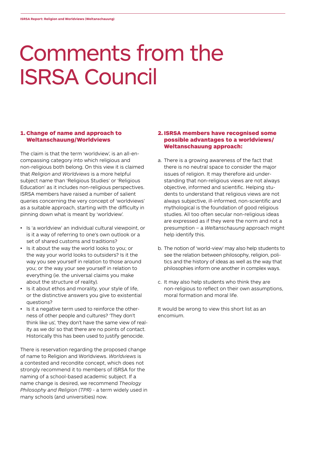### Comments from the ISRSA Council

#### 1. Change of name and approach to Weltanschauung/Worldviews

The claim is that the term 'worldview', is an all-encompassing category into which religious and non-religious both belong. On this view it is claimed that *Religion and Worldviews* is a more helpful subject name than 'Religious Studies' or 'Religious Education' as it includes non-religious perspectives. ISRSA members have raised a number of salient queries concerning the very concept of 'worldviews' as a suitable approach, starting with the difficulty in pinning down what is meant by 'worldview'.

- Is 'a worldview' an individual cultural viewpoint, or is it a way of referring to one's own outlook or a set of shared customs and traditions?
- Is it about the way the world looks to you; or the way your world looks to outsiders? Is it the way you see yourself in relation to those around you; or the way your see yourself in relation to everything (ie. the universal claims you make about the structure of reality).
- Is it about ethos and morality, your style of life, or the distinctive answers you give to existential questions?
- Is it a negative term used to reinforce the otherness of other people and cultures? 'They don't think like us', 'they don't have the same view of reality as we do' so that there are no points of contact. Historically this has been used to justify genocide.

There is reservation regarding the proposed change of name to Religion and Worldviews. *Worldviews* is a contested and recondite concept, which does not strongly recommend it to members of ISRSA for the naming of a school-based academic subject. If a name change is desired, we recommend *Theology Philosophy and Religion (TPR)* - a term widely used in many schools (and universities) now.

### 2. ISRSA members have recognised some possible advantages to a worldviews/ Weltanschauung approach:

- a. There is a growing awareness of the fact that there is no neutral space to consider the major issues of religion. It may therefore aid understanding that non-religious views are not always objective, informed and scientific. Helping students to understand that religious views are not always subjective, ill-informed, non-scientific and mythological is the foundation of good religious studies. All too often secular non-religious ideas are expressed as if they were the norm and not a presumption – a *Weltanschauung* approach might help identify this.
- b. The notion of 'world-view' may also help students to see the relation between philosophy, religion, politics and the history of ideas as well as the way that philosophies inform one another in complex ways.
- c. It may also help students who think they are non-religious to reflect on their own assumptions, moral formation and moral life.

It would be wrong to view this short list as an encomium.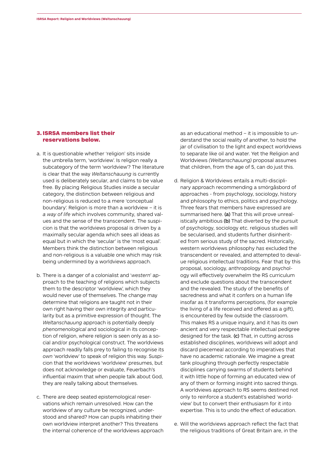#### 3. ISRSA members list their reservations below.

- a. It is questionable whether 'religion' sits inside the umbrella term, 'worldview'. Is religion really a subcategory of the term 'worldview'? The literature is clear that the way *Weltanschauung* is currently used is deliberately secular, and claims to be value free. By placing Religious Studies inside a secular category, the distinction between religious and non-religious is reduced to a mere 'conceptual boundary'. Religion is more than a worldview – it is *a way of life* which involves community, shared values and the sense of the transcendent. The suspicion is that the worldviews proposal is driven by a maximally secular agenda which sees all ideas as equal but in which the 'secular' is the 'most equal'. Members think the distinction between religious and non-religious is a valuable one which may risk being undermined by a worldviews approach.
- b. There is a danger of a colonialist and '*western*' approach to the teaching of religions which subjects them to the descriptor 'worldview', which they would never use of themselves. The change may determine that religions are taught not in their own right having their own integrity and particularity but as a primitive expression of thought. The *Weltanschauung* approach is potentially deeply *phenomenological* and sociological in its conception of religion, where religion is seen only as a social and/or psychological construct. The worldviews approach readily falls prey to failing to recognise its *own* 'worldview' to speak of religion this way. Suspicion that the worldviews 'worldview' presumes, but does not acknowledge or evaluate, Feuerbach's influential maxim that when people talk about God, they are really talking about themselves.
- c. There are deep seated epistemological reservations which remain unresolved. How can the worldview of any culture be recognized, understood and shared? How can pupils inhabiting their own worldview interpret another? This threatens the internal coherence of the worldviews approach

as an educational method – it is impossible to understand the social reality of another, to hold the jar of civilisation to the light and expect worldviews to separate like oil and water. Yet the Religion and Worldviews *(Weltanschauung)* proposal assumes that children, from the age of 5, can do just this.

- d. Religion & Worldviews entails a multi-disciplinary approach recommending a smörgåsbord of approaches - from psychology, sociology, history and philosophy to ethics, politics and psychology. Three fears that members have expressed are summarised here. (a) That this will prove unrealistically ambitious (b) That diverted by the pursuit of psychology, sociology etc. religious studies will be secularised, and students further disinherited from serious study of the sacred. Historically, western worldviews philosophy *has* excluded the transcendent or revealed, and attempted to devalue religious intellectual traditions. Fear that by this proposal, sociology, anthropology and psychology will effectively overwhelm the RS curriculum and exclude questions about the transcendent and the revealed. The study of the benefits of sacredness and what it confers on a human life insofar as it transforms perceptions, (for example the living of a life received and offered as a gift), is encountered by few outside the classroom. This makes RS a unique inquiry, and it has its own ancient and very respectable intellectual pedigree designed for the task. (c) That, in cutting across established disciplines, worldviews will adopt and discard piecemeal according to imperatives that have no academic rationale. We imagine a great tank ploughing through perfectly respectable disciplines carrying swarms of students behind it with little hope of forming an educated view of any of them or forming insight into sacred things. A worldviews approach to RS seems destined not only to reinforce a student's established 'worldview' but to convert their enthusiasm for it into expertise. This is to undo the effect of education.
- e. Will the worldviews approach reflect the fact that the religious traditions of Great Britain are, in the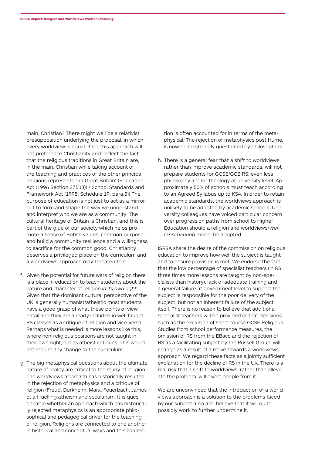main, Christian? There might well be a relativist presupposition underlying the proposal, in which every worldview is equal. If so, this approach will not preference Christianity and 'reflect the fact that the religious traditions in Great Britain are, in the main, Christian while taking account of the teaching and practices of the other principal religions represented in Great Britain'. (Education Act (1996 Section 375 (3)) / School Standards and Framework Act (1998, Schedule 19, para.5)) The purpose of education is not just to act as a mirror but to form and shape the way we understand and interpret who we are as a community. The cultural heritage of Britain is Christian, and this is part of the glue of our society which helps promote a sense of British values, common purpose, and build a community resilience and a willingness to sacrifice for the common good. Christianity deserves a privileged place on the curriculum and a worldviews approach may threaten this.

- f. Given the potential for future wars of religion there is a place in education to teach students about the nature and character of religion *in its own right*. Given that the dominant cultural perspective of the UK is generally humanist/atheistic most students have a good grasp of what these points of view entail and they are already included in well taught RS classes as a critique of religion and vice-versa. Perhaps what is needed is more lessons like this, where non-religious positions are not taught in their own right, but as atheist critiques. This would not require any change to the curriculum.
- g. The big metaphysical questions about the ultimate nature of reality are critical to the study of religion. The worldviews approach has historically resulted in the rejection of metaphysics and a critique of religion (Freud, Durkheim, Marx, Feuerbach, James et al) fuelling atheism and secularism. It is questionable whether an approach which has historically rejected metaphysics is an appropriate philosophical and pedagogical driver for the teaching of religion. Religions are connected to one another in historical and conceptual ways and this connec-

tion is often accounted for in terms of the metaphysical. The rejection of metaphysics post Hume, is now being strongly questioned by philosophers.

h. There is a general fear that a shift to worldviews, rather than improve academic standards, will not prepare students for GCSE/GCE RS, even less philosophy and/or theology at university level. Approximately 50% of schools must teach according to an Agreed Syllabus up to KS4. In order to retain academic standards, the worldviews approach is unlikely to be adopted by academic schools. University colleagues have voiced particular concern over progression paths from school to Higher Education should a religion and worldviews/*Weltanschauung* model be adopted.

ISRSA share the desire of the commission on religious education to improve how well the subject is taught and to ensure provision is met. We endorse the fact that the low percentage of specialist teachers (in RS three times more lessons are taught by non-specialists than history), lack of adequate training and a general failure at government level to support the subject is responsible for the poor delivery of the subject, but not an inherent failure of the subject itself. There is no reason to believe that additional specialist teachers will be provided or that decisions such as the exclusion of short course GCSE Religious Studies from school performance measures, the omission of RS from the EBacc and the rejection of RS as a facilitating subject by the Russell Group, will change as a result of a move towards a worldviews approach. We regard these facts as a jointly sufficient explanation for the decline of RS in the UK. There is a real risk that a shift to worldviews, rather than alleviate the problem, will divert people from it.

We are unconvinced that the introduction of a worldviews approach is a solution to the problems faced by our subject area and believe that it will quite possibly work to further undermine it.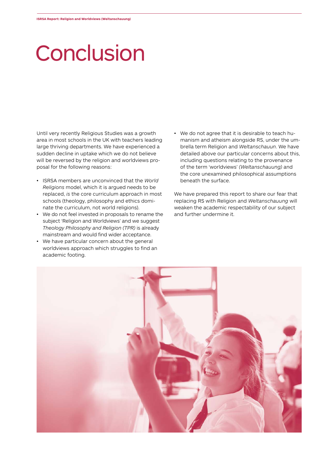### **Conclusion**

Until very recently Religious Studies was a growth area in most schools in the UK with teachers leading large thriving departments. We have experienced a sudden decline in uptake which we do not believe will be reversed by the religion and worldviews proposal for the following reasons:

- ISRSA members are unconvinced that the *World Religions* model, which it is argued needs to be replaced, *is* the core curriculum approach in most schools (theology, philosophy and ethics dominate the curriculum, not world religions).
- We do not feel invested in proposals to rename the subject 'Religion and Worldviews' and we suggest *Theology Philosophy and Religion (TPR)* is already mainstream and would find wider acceptance.
- We have particular concern about the general worldviews approach which struggles to find an academic footing.

• We do not agree that it is desirable to teach humanism and atheism alongside RS, under the umbrella term Religion and *Weltanschauun*. We have detailed above our particular concerns about this, including questions relating to the provenance of the term 'worldviews' *(Weltanschauung)* and the core unexamined philosophical assumptions beneath the surface.

We have prepared this report to share our fear that replacing RS with Religion and *Weltanschauung* will weaken the academic respectability of our subject and further undermine it.

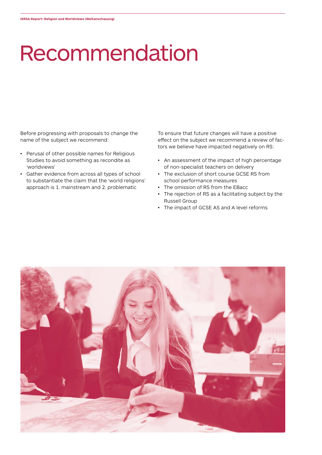# Recommendation

Before progressing with proposals to change the name of the subject we recommend:

- Perusal of other possible names for Religious Studies to avoid something as recondite as 'worldviews'
- Gather evidence from across all types of school to substantiate the claim that the 'world religions' approach is 1. mainstream and 2. problematic

To ensure that future changes will have a positive effect on the subject we recommend a review of factors we believe have impacted negatively on RS:

- An assessment of the impact of high percentage of non-specialist teachers on delivery
- The exclusion of short course GCSE RS from school performance measures
- The omission of RS from the EBacc
- The rejection of RS as a facilitating subject by the Russell Group
- The impact of GCSE AS and A level reforms